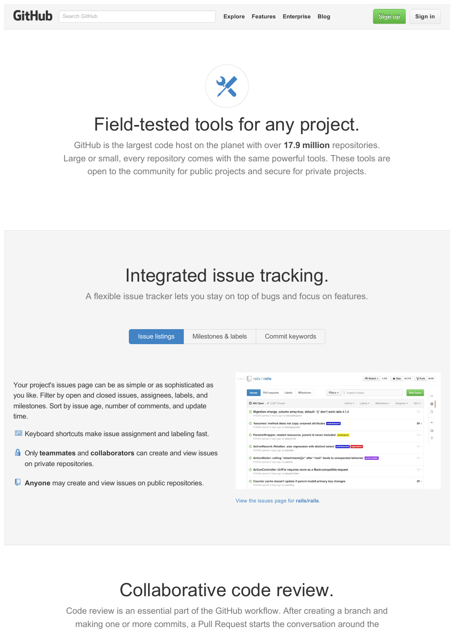

## Field-tested tools for any project.

GitHub is the largest code host on the planet with over **17.9 million** repositories. Large or small, every repository comes with the same powerful tools. These tools are open to the community for public projects and secure for private projects.

#### Integrated issue tracking.

A flexible issue tracker lets you stay on top of bugs and focus on features.

|                                                                                                  | <b>Issue listings</b> | Milestones & labels | Commit keywords                                                                                                                                   |                                            |                                           |                         |
|--------------------------------------------------------------------------------------------------|-----------------------|---------------------|---------------------------------------------------------------------------------------------------------------------------------------------------|--------------------------------------------|-------------------------------------------|-------------------------|
|                                                                                                  |                       |                     | PUBLIC   rails / rails                                                                                                                            | <b>EXatch - 1.524</b>                      | $\frac{1}{2}$ Star 22,519<br>V Fork 8,425 |                         |
| Your project's issues page can be as simple or as sophisticated as                               |                       |                     | Pull requests Labels Milestones<br><b>Issues</b>                                                                                                  | Filters v Q is:open is:issue               | <b>New issue</b>                          |                         |
| you like. Filter by open and closed issues, assignees, labels, and                               |                       |                     |                                                                                                                                                   |                                            |                                           | $\leftrightarrow$       |
| milestones. Sort by issue age, number of comments, and update                                    |                       |                     | <b>1266 Open</b> √ 5,567 Closed                                                                                                                   | Milestones -<br>Author -<br>Labels $\star$ | Assignee -<br>$Sort -$                    | $\circ$                 |
| time.                                                                                            |                       |                     | Migration change_column array:true, default: '{}' don't work rails 4.1.4<br>#16233 opened 2 hours ago by nilocoelhojunior                         |                                            | 期々                                        | n                       |
|                                                                                                  |                       |                     | <b>O</b> 'becomes' method does not copy unsaved attributes attiverecord<br>#16206 opened 3 days ago by thehappycoder                              |                                            | 图 4                                       | 40                      |
| Keyboard shortcuts make issue assignment and labeling fast.                                      |                       |                     | <sup>1</sup> ParamsWrapper, nested ressource, parent id never included actionpack<br>#16194 opened 3 days ago by elbarto132                       |                                            | $\mathbf{m}$                              | $ $ <sub>ali</sub><br>v |
|                                                                                                  |                       |                     | C ActiveRecord::Relation size regression with distinct select activerecord regression<br>#16182 opened 4 days ago by aripollak                    |                                            | 图示                                        |                         |
| <b>■</b> Only teammates and collaborators can create and view issues<br>on private repositories. |                       |                     | <sup>1</sup> ActionMailer: calling "attachments[]=" after "mail" leads to unexpected behavior scilonmaller<br>#16163 opened 6 days ago by joakimk |                                            | $\Box$ 0                                  |                         |
|                                                                                                  |                       |                     | © ActionController::UrlFor requires more as a Rack-compatible request<br>#16160 opened 6 days ago by dspaeth-faber                                |                                            | $\Box$ o                                  |                         |
| $\Box$ Anyone may create and view issues on public repositories.                                 |                       |                     | Counter cache doesn't update if parent model primary key changes<br>#16159 opened 6 days ago by noinkling                                         |                                            | 甲1                                        |                         |

## Collaborative code review.

Code review is an essential part of the GitHub workflow. After creating a branch and making one or more commits, a Pull Request starts the conversation around the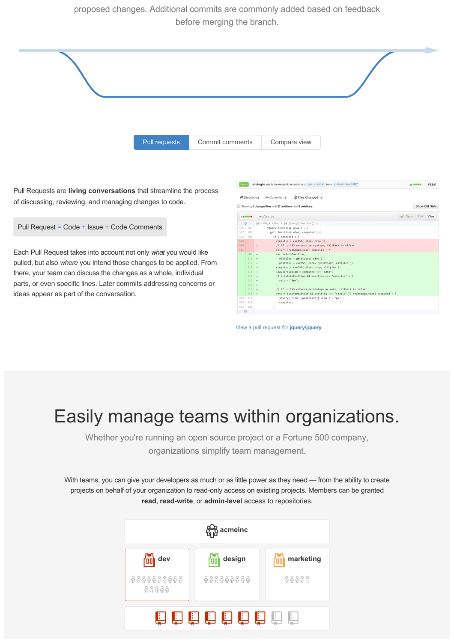proposed changes. Additional commits are commonly added based on feedback before merging the branch.



ideas appear as part of the conversation.

|  | View a pull request for jquery/jquery. |  |  |
|--|----------------------------------------|--|--|
|  |                                        |  |  |

computed:

 $\begin{array}{r|l} 513 & 520 \\ 514 & 521 \end{array}$ 

# Easily manage teams within organizations.

Whether you're running an open source project or a Fortune 500 company, organizations simplify team management.

With teams, you can give your developers as much or as little power as they need — from the ability to create projects on behalf of your organization to read-only access on existing projects. Members can be granted read, read-write, or admin-level access to repositories.

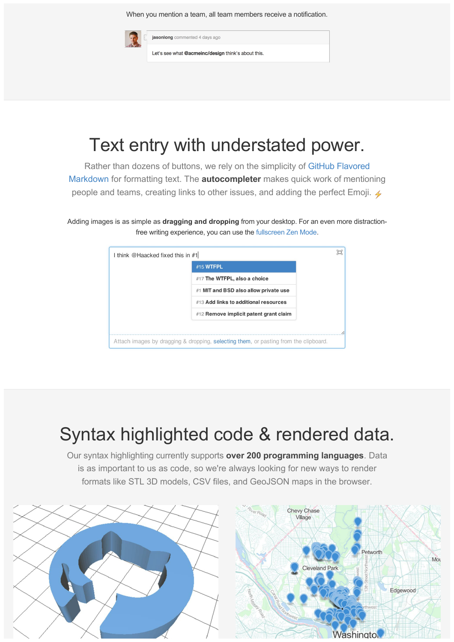When you mention a team, all team members receive a notification.

jasonlong commented 4 days ago Let's see what @acmeinc/design think's about this.

# Text entry with understated power.

[Rather than dozens of buttons, we rely on the simplicity of GitHub Flavored](http://github.github.com/github-flavored-markdown/) Markdown for formatting text. The **autocompleter** makes quick work of mentioning people and teams, creating links to other issues, and adding the perfect Emoji.  $\angle$ 

Adding images is as simple as **dragging and dropping** from your desktop. For an even more distractionfree writing experience, you can use the [fullscreen Zen Mode](https://help.github.com/articles/writing-on-github#zen-mode-fullscreen-writing).

| I think @Haacked fixed this in #1 |                                                                                      | О |
|-----------------------------------|--------------------------------------------------------------------------------------|---|
|                                   | #15 WTFPL                                                                            |   |
|                                   | #17 The WTFPL, also a choice                                                         |   |
|                                   | #1 MIT and BSD also allow private use                                                |   |
|                                   | #13 Add links to additional resources                                                |   |
|                                   | #12 Remove implicit patent grant claim                                               |   |
|                                   |                                                                                      |   |
|                                   | Attach images by dragging & dropping, selecting them, or pasting from the clipboard. |   |

# Syntax highlighted code & rendered data.

Our syntax highlighting currently supports **over 200 programming languages**. Data is as important to us as code, so we're always looking for new ways to render formats like STL 3D models, CSV files, and GeoJSON maps in the browser.

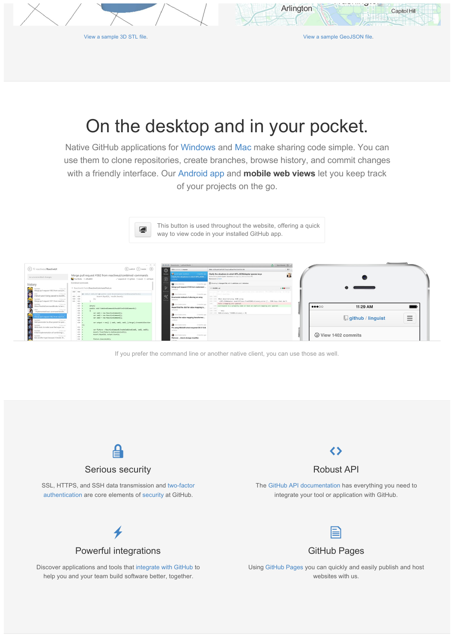$\Box$ 

[View a sample 3D STL file.](https://github.com/skalnik/octocat-sign/blob/master/stl/logo.stl) [View a sample GeoJSON file.](https://github.com/benbalter/dc-maps/blob/master/embassies.geojson)

Capitol Hill

Arlington

### On the desktop and in your pocket.

Native GitHub applications for [Windows](http://windows.github.com/) and [Mac](http://mac.github.com/) make sharing code simple. You can use them to clone repositories, create branches, browse history, and commit changes with a friendly interface. Our [Android app](http://mobile.github.com/) and **mobile web views** let you keep track of your projects on the go.

> This button is used throughout the website, offering a quick way to view code in your installed GitHub app.



If you prefer the command line or another native client, you can use those as well.